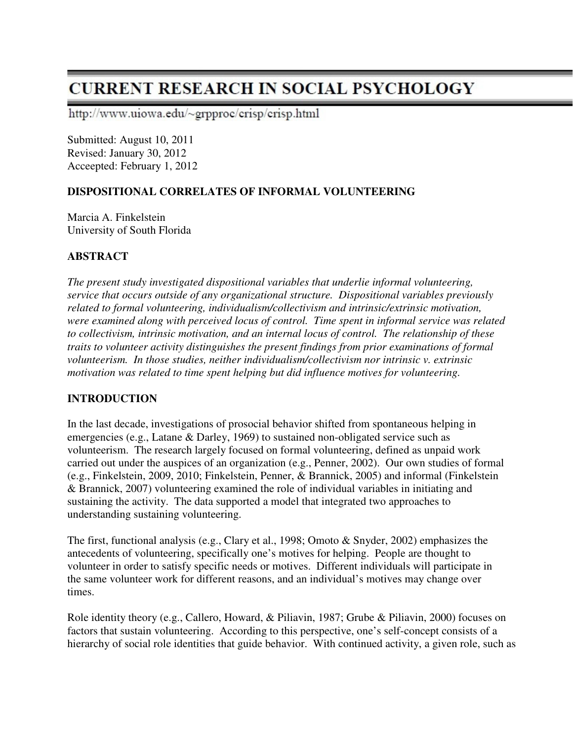# **CURRENT RESEARCH IN SOCIAL PSYCHOLOGY**

http://www.uiowa.edu/~grpproc/crisp/crisp.html

Submitted: August 10, 2011 Revised: January 30, 2012 Acceepted: February 1, 2012

#### **DISPOSITIONAL CORRELATES OF INFORMAL VOLUNTEERING**

Marcia A. Finkelstein University of South Florida

#### **ABSTRACT**

*The present study investigated dispositional variables that underlie informal volunteering, service that occurs outside of any organizational structure. Dispositional variables previously related to formal volunteering, individualism/collectivism and intrinsic/extrinsic motivation, were examined along with perceived locus of control. Time spent in informal service was related to collectivism, intrinsic motivation, and an internal locus of control. The relationship of these traits to volunteer activity distinguishes the present findings from prior examinations of formal volunteerism. In those studies, neither individualism/collectivism nor intrinsic v. extrinsic motivation was related to time spent helping but did influence motives for volunteering.* 

#### **INTRODUCTION**

In the last decade, investigations of prosocial behavior shifted from spontaneous helping in emergencies (e.g., Latane & Darley, 1969) to sustained non-obligated service such as volunteerism. The research largely focused on formal volunteering, defined as unpaid work carried out under the auspices of an organization (e.g., Penner, 2002). Our own studies of formal (e.g., Finkelstein, 2009, 2010; Finkelstein, Penner, & Brannick, 2005) and informal (Finkelstein & Brannick, 2007) volunteering examined the role of individual variables in initiating and sustaining the activity. The data supported a model that integrated two approaches to understanding sustaining volunteering.

The first, functional analysis (e.g., Clary et al., 1998; Omoto & Snyder, 2002) emphasizes the antecedents of volunteering, specifically one's motives for helping. People are thought to volunteer in order to satisfy specific needs or motives. Different individuals will participate in the same volunteer work for different reasons, and an individual's motives may change over times.

Role identity theory (e.g., Callero, Howard, & Piliavin, 1987; Grube & Piliavin, 2000) focuses on factors that sustain volunteering. According to this perspective, one's self-concept consists of a hierarchy of social role identities that guide behavior. With continued activity, a given role, such as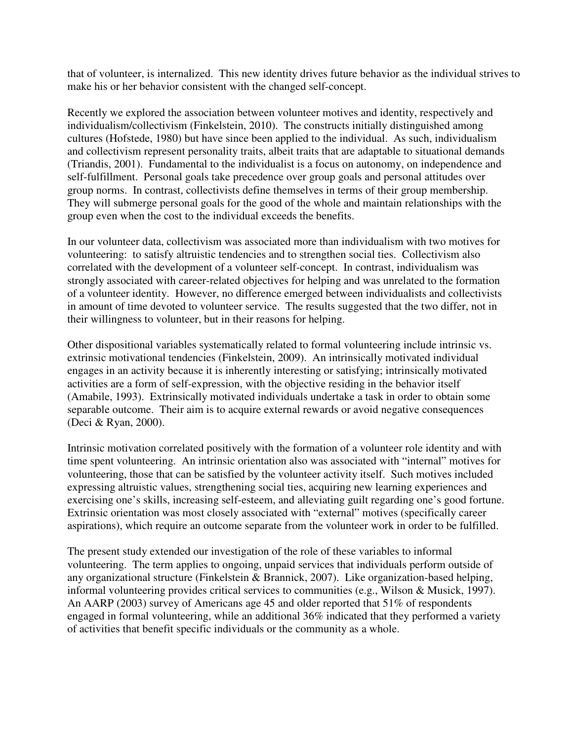that of volunteer, is internalized. This new identity drives future behavior as the individual strives to make his or her behavior consistent with the changed self-concept.

Recently we explored the association between volunteer motives and identity, respectively and individualism/collectivism (Finkelstein, 2010). The constructs initially distinguished among cultures (Hofstede, 1980) but have since been applied to the individual. As such, individualism and collectivism represent personality traits, albeit traits that are adaptable to situational demands (Triandis, 2001). Fundamental to the individualist is a focus on autonomy, on independence and self-fulfillment. Personal goals take precedence over group goals and personal attitudes over group norms. In contrast, collectivists define themselves in terms of their group membership. They will submerge personal goals for the good of the whole and maintain relationships with the group even when the cost to the individual exceeds the benefits.

In our volunteer data, collectivism was associated more than individualism with two motives for volunteering: to satisfy altruistic tendencies and to strengthen social ties. Collectivism also correlated with the development of a volunteer self-concept. In contrast, individualism was strongly associated with career-related objectives for helping and was unrelated to the formation of a volunteer identity. However, no difference emerged between individualists and collectivists in amount of time devoted to volunteer service. The results suggested that the two differ, not in their willingness to volunteer, but in their reasons for helping.

Other dispositional variables systematically related to formal volunteering include intrinsic vs. extrinsic motivational tendencies (Finkelstein, 2009). An intrinsically motivated individual engages in an activity because it is inherently interesting or satisfying; intrinsically motivated activities are a form of self-expression, with the objective residing in the behavior itself (Amabile, 1993). Extrinsically motivated individuals undertake a task in order to obtain some separable outcome. Their aim is to acquire external rewards or avoid negative consequences (Deci & Ryan, 2000).

Intrinsic motivation correlated positively with the formation of a volunteer role identity and with time spent volunteering. An intrinsic orientation also was associated with "internal" motives for volunteering, those that can be satisfied by the volunteer activity itself. Such motives included expressing altruistic values, strengthening social ties, acquiring new learning experiences and exercising one's skills, increasing self-esteem, and alleviating guilt regarding one's good fortune. Extrinsic orientation was most closely associated with "external" motives (specifically career aspirations), which require an outcome separate from the volunteer work in order to be fulfilled.

The present study extended our investigation of the role of these variables to informal volunteering. The term applies to ongoing, unpaid services that individuals perform outside of any organizational structure (Finkelstein & Brannick, 2007). Like organization-based helping, informal volunteering provides critical services to communities (e.g., Wilson & Musick, 1997). An AARP (2003) survey of Americans age 45 and older reported that 51% of respondents engaged in formal volunteering, while an additional 36% indicated that they performed a variety of activities that benefit specific individuals or the community as a whole.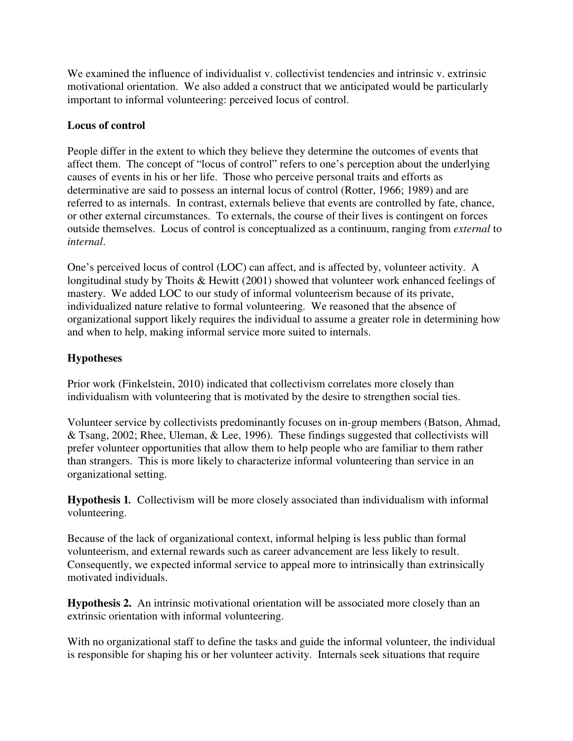We examined the influence of individualist v. collectivist tendencies and intrinsic v. extrinsic motivational orientation. We also added a construct that we anticipated would be particularly important to informal volunteering: perceived locus of control.

## **Locus of control**

People differ in the extent to which they believe they determine the outcomes of events that affect them. The concept of "locus of control" refers to one's perception about the underlying causes of events in his or her life. Those who perceive personal traits and efforts as determinative are said to possess an internal locus of control (Rotter, 1966; 1989) and are referred to as internals. In contrast, externals believe that events are controlled by fate, chance, or other external circumstances. To externals, the course of their lives is contingent on forces outside themselves. Locus of control is conceptualized as a continuum, ranging from *external* to *internal*.

One's perceived locus of control (LOC) can affect, and is affected by, volunteer activity.A longitudinal study by Thoits & Hewitt (2001) showed that volunteer work enhanced feelings of mastery. We added LOC to our study of informal volunteerism because of its private, individualized nature relative to formal volunteering. We reasoned that the absence of organizational support likely requires the individual to assume a greater role in determining how and when to help, making informal service more suited to internals.

# **Hypotheses**

Prior work (Finkelstein, 2010) indicated that collectivism correlates more closely than individualism with volunteering that is motivated by the desire to strengthen social ties.

Volunteer service by collectivists predominantly focuses on in-group members (Batson, Ahmad, & Tsang, 2002; Rhee, Uleman, & Lee, 1996). These findings suggested that collectivists will prefer volunteer opportunities that allow them to help people who are familiar to them rather than strangers. This is more likely to characterize informal volunteering than service in an organizational setting.

**Hypothesis 1***.* Collectivism will be more closely associated than individualism with informal volunteering.

Because of the lack of organizational context, informal helping is less public than formal volunteerism, and external rewards such as career advancement are less likely to result. Consequently, we expected informal service to appeal more to intrinsically than extrinsically motivated individuals.

**Hypothesis 2.**An intrinsic motivational orientation will be associated more closely than an extrinsic orientation with informal volunteering.

With no organizational staff to define the tasks and guide the informal volunteer, the individual is responsible for shaping his or her volunteer activity. Internals seek situations that require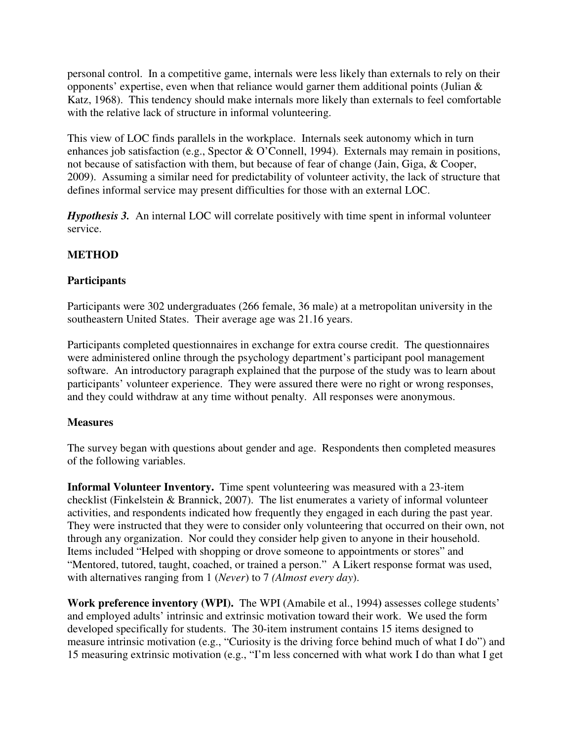personal control. In a competitive game, internals were less likely than externals to rely on their opponents' expertise, even when that reliance would garner them additional points (Julian & Katz, 1968). This tendency should make internals more likely than externals to feel comfortable with the relative lack of structure in informal volunteering.

This view of LOC finds parallels in the workplace. Internals seek autonomy which in turn enhances job satisfaction (e.g., Spector & O'Connell, 1994). Externals may remain in positions, not because of satisfaction with them, but because of fear of change (Jain, Giga, & Cooper, 2009). Assuming a similar need for predictability of volunteer activity, the lack of structure that defines informal service may present difficulties for those with an external LOC.

*Hypothesis 3.* An internal LOC will correlate positively with time spent in informal volunteer service.

## **METHOD**

#### **Participants**

Participants were 302 undergraduates (266 female, 36 male) at a metropolitan university in the southeastern United States. Their average age was 21.16 years.

Participants completed questionnaires in exchange for extra course credit. The questionnaires were administered online through the psychology department's participant pool management software. An introductory paragraph explained that the purpose of the study was to learn about participants' volunteer experience. They were assured there were no right or wrong responses, and they could withdraw at any time without penalty. All responses were anonymous.

#### **Measures**

The survey began with questions about gender and age. Respondents then completed measures of the following variables.

**Informal Volunteer Inventory.** Time spent volunteering was measured with a 23-item checklist (Finkelstein & Brannick, 2007). The list enumerates a variety of informal volunteer activities, and respondents indicated how frequently they engaged in each during the past year. They were instructed that they were to consider only volunteering that occurred on their own, not through any organization. Nor could they consider help given to anyone in their household. Items included "Helped with shopping or drove someone to appointments or stores" and "Mentored, tutored, taught, coached, or trained a person." A Likert response format was used, with alternatives ranging from 1 (*Never*) to 7 *(Almost every day*).

**Work preference inventory (WPI).** The WPI (Amabile et al., 1994**)** assesses college students' and employed adults' intrinsic and extrinsic motivation toward their work. We used the form developed specifically for students. The 30-item instrument contains 15 items designed to measure intrinsic motivation (e.g., "Curiosity is the driving force behind much of what I do") and 15 measuring extrinsic motivation (e.g., "I'm less concerned with what work I do than what I get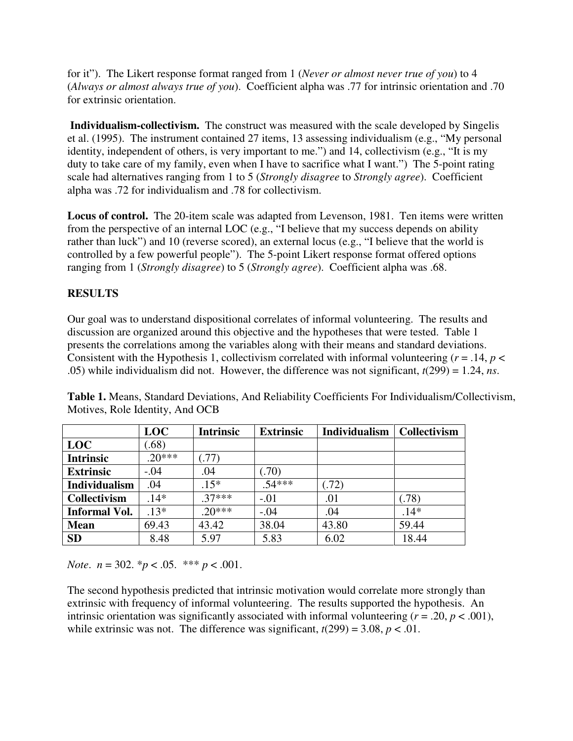for it"). The Likert response format ranged from 1 (*Never or almost never true of you*) to 4 (*Always or almost always true of you*). Coefficient alpha was .77 for intrinsic orientation and .70 for extrinsic orientation.

 **Individualism-collectivism.** The construct was measured with the scale developed by Singelis et al. (1995). The instrument contained 27 items, 13 assessing individualism (e.g., "My personal identity, independent of others, is very important to me.") and 14, collectivism (e.g., "It is my duty to take care of my family, even when I have to sacrifice what I want.") The 5-point rating scale had alternatives ranging from 1 to 5 (*Strongly disagree* to *Strongly agree*). Coefficient alpha was .72 for individualism and .78 for collectivism.

**Locus of control.** The 20-item scale was adapted from Levenson, 1981. Ten items were written from the perspective of an internal LOC (e.g., "I believe that my success depends on ability rather than luck") and 10 (reverse scored), an external locus (e.g., "I believe that the world is controlled by a few powerful people"). The 5-point Likert response format offered options ranging from 1 (*Strongly disagree*) to 5 (*Strongly agree*). Coefficient alpha was .68.

# **RESULTS**

Our goal was to understand dispositional correlates of informal volunteering. The results and discussion are organized around this objective and the hypotheses that were tested. Table 1 presents the correlations among the variables along with their means and standard deviations. Consistent with the Hypothesis 1, collectivism correlated with informal volunteering  $(r = .14, p <$ .05) while individualism did not. However, the difference was not significant, *t*(299) = 1.24, *ns*.

|                      | <b>LOC</b> | <b>Intrinsic</b> | <b>Extrinsic</b> | <b>Individualism</b> | <b>Collectivism</b> |
|----------------------|------------|------------------|------------------|----------------------|---------------------|
| <b>LOC</b>           | (68)       |                  |                  |                      |                     |
| <b>Intrinsic</b>     | $20***$    | (77)             |                  |                      |                     |
| <b>Extrinsic</b>     | $-.04$     | .04              | (70)             |                      |                     |
| Individualism        | .04        | $.15*$           | $.54***$         | (0.72)               |                     |
| Collectivism         | $.14*$     | $.37***$         | $-.01$           | .01                  | (.78)               |
| <b>Informal Vol.</b> | $.13*$     | $.20***$         | $-.04$           | .04                  | $.14*$              |
| <b>Mean</b>          | 69.43      | 43.42            | 38.04            | 43.80                | 59.44               |
| <b>SD</b>            | 8.48       | 5.97             | 5.83             | 6.02                 | 18.44               |

**Table 1.** Means, Standard Deviations, And Reliability Coefficients For Individualism/Collectivism, Motives, Role Identity, And OCB

*Note*. *n* = 302. \**p* < .05. \*\*\* *p* < .001.

The second hypothesis predicted that intrinsic motivation would correlate more strongly than extrinsic with frequency of informal volunteering. The results supported the hypothesis. An intrinsic orientation was significantly associated with informal volunteering  $(r = .20, p < .001)$ , while extrinsic was not. The difference was significant,  $t(299) = 3.08$ ,  $p < .01$ .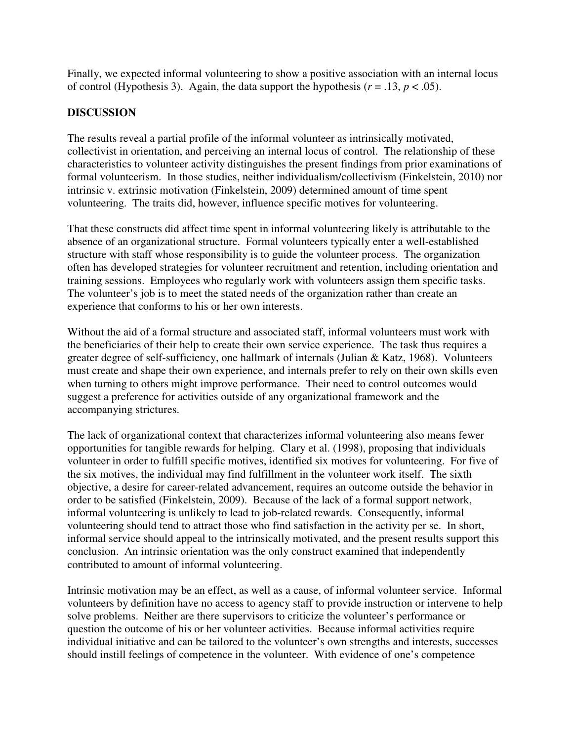Finally, we expected informal volunteering to show a positive association with an internal locus of control (Hypothesis 3). Again, the data support the hypothesis  $(r = .13, p < .05)$ .

## **DISCUSSION**

The results reveal a partial profile of the informal volunteer as intrinsically motivated, collectivist in orientation, and perceiving an internal locus of control. The relationship of these characteristics to volunteer activity distinguishes the present findings from prior examinations of formal volunteerism. In those studies, neither individualism/collectivism (Finkelstein, 2010) nor intrinsic v. extrinsic motivation (Finkelstein, 2009) determined amount of time spent volunteering. The traits did, however, influence specific motives for volunteering.

That these constructs did affect time spent in informal volunteering likely is attributable to the absence of an organizational structure. Formal volunteers typically enter a well-established structure with staff whose responsibility is to guide the volunteer process. The organization often has developed strategies for volunteer recruitment and retention, including orientation and training sessions. Employees who regularly work with volunteers assign them specific tasks. The volunteer's job is to meet the stated needs of the organization rather than create an experience that conforms to his or her own interests.

Without the aid of a formal structure and associated staff, informal volunteers must work with the beneficiaries of their help to create their own service experience. The task thus requires a greater degree of self-sufficiency, one hallmark of internals (Julian & Katz, 1968). Volunteers must create and shape their own experience, and internals prefer to rely on their own skills even when turning to others might improve performance. Their need to control outcomes would suggest a preference for activities outside of any organizational framework and the accompanying strictures.

The lack of organizational context that characterizes informal volunteering also means fewer opportunities for tangible rewards for helping. Clary et al. (1998), proposing that individuals volunteer in order to fulfill specific motives, identified six motives for volunteering. For five of the six motives, the individual may find fulfillment in the volunteer work itself. The sixth objective, a desire for career-related advancement, requires an outcome outside the behavior in order to be satisfied (Finkelstein, 2009). Because of the lack of a formal support network, informal volunteering is unlikely to lead to job-related rewards. Consequently, informal volunteering should tend to attract those who find satisfaction in the activity per se. In short, informal service should appeal to the intrinsically motivated, and the present results support this conclusion. An intrinsic orientation was the only construct examined that independently contributed to amount of informal volunteering.

Intrinsic motivation may be an effect, as well as a cause, of informal volunteer service. Informal volunteers by definition have no access to agency staff to provide instruction or intervene to help solve problems. Neither are there supervisors to criticize the volunteer's performance or question the outcome of his or her volunteer activities. Because informal activities require individual initiative and can be tailored to the volunteer's own strengths and interests, successes should instill feelings of competence in the volunteer. With evidence of one's competence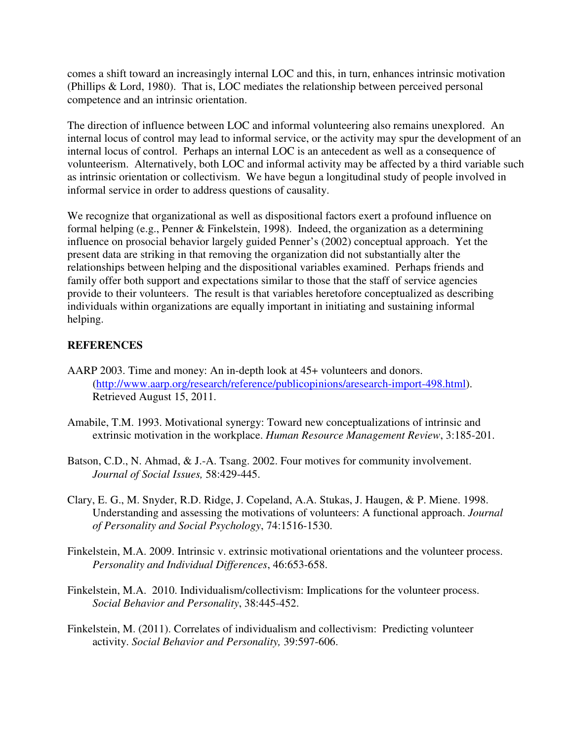comes a shift toward an increasingly internal LOC and this, in turn, enhances intrinsic motivation (Phillips & Lord, 1980). That is, LOC mediates the relationship between perceived personal competence and an intrinsic orientation.

The direction of influence between LOC and informal volunteering also remains unexplored. An internal locus of control may lead to informal service, or the activity may spur the development of an internal locus of control. Perhaps an internal LOC is an antecedent as well as a consequence of volunteerism. Alternatively, both LOC and informal activity may be affected by a third variable such as intrinsic orientation or collectivism. We have begun a longitudinal study of people involved in informal service in order to address questions of causality.

We recognize that organizational as well as dispositional factors exert a profound influence on formal helping (e.g., Penner & Finkelstein, 1998). Indeed, the organization as a determining influence on prosocial behavior largely guided Penner's (2002) conceptual approach. Yet the present data are striking in that removing the organization did not substantially alter the relationships between helping and the dispositional variables examined.Perhaps friends and family offer both support and expectations similar to those that the staff of service agencies provide to their volunteers. The result is that variables heretofore conceptualized as describing individuals within organizations are equally important in initiating and sustaining informal helping.

## **REFERENCES**

- AARP 2003. Time and money: An in-depth look at 45+ volunteers and donors. (http://www.aarp.org/research/reference/publicopinions/aresearch-import-498.html). Retrieved August 15, 2011.
- Amabile, T.M. 1993. Motivational synergy: Toward new conceptualizations of intrinsic and extrinsic motivation in the workplace. *Human Resource Management Review*, 3:185-201.
- Batson, C.D., N. Ahmad, & J.-A. Tsang. 2002. Four motives for community involvement. *Journal of Social Issues,* 58:429-445.
- Clary, E. G., M. Snyder, R.D. Ridge, J. Copeland, A.A. Stukas, J. Haugen, & P. Miene. 1998. Understanding and assessing the motivations of volunteers: A functional approach. *Journal of Personality and Social Psychology*, 74:1516-1530.
- Finkelstein, M.A. 2009. Intrinsic v. extrinsic motivational orientations and the volunteer process. *Personality and Individual Differences*, 46:653-658.
- Finkelstein, M.A. 2010. Individualism/collectivism: Implications for the volunteer process. *Social Behavior and Personality*, 38:445-452.
- Finkelstein, M. (2011). Correlates of individualism and collectivism: Predicting volunteer activity. *Social Behavior and Personality,* 39:597-606.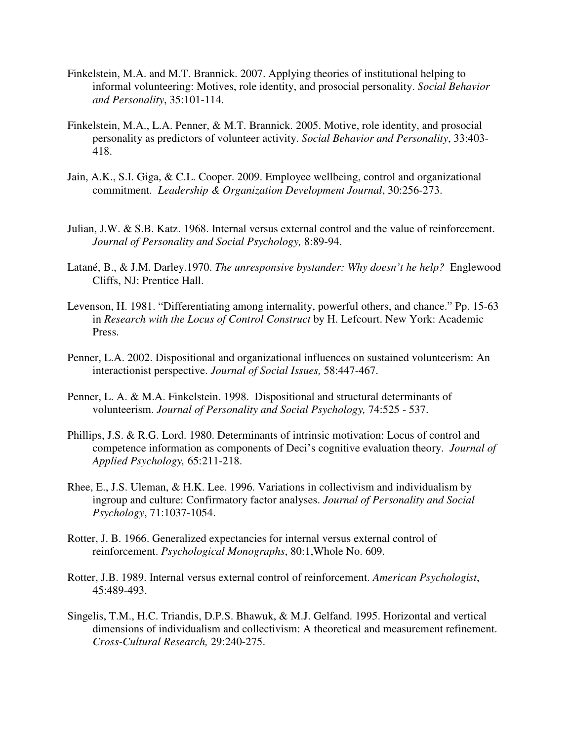- Finkelstein, M.A. and M.T. Brannick. 2007. Applying theories of institutional helping to informal volunteering: Motives, role identity, and prosocial personality. *Social Behavior and Personality*, 35:101-114.
- Finkelstein, M.A., L.A. Penner, & M.T. Brannick. 2005. Motive, role identity, and prosocial personality as predictors of volunteer activity. *Social Behavior and Personality*, 33:403- 418.
- Jain, A.K., S.I. Giga, & C.L. Cooper. 2009. Employee wellbeing, control and organizational commitment. *Leadership & Organization Development Journal*, 30:256-273.
- Julian, J.W. & S.B. Katz. 1968. Internal versus external control and the value of reinforcement. *Journal of Personality and Social Psychology,* 8:89-94.
- Latané, B., & J.M. Darley.1970. *The unresponsive bystander: Why doesn't he help?* Englewood Cliffs, NJ: Prentice Hall.
- Levenson, H. 1981. "Differentiating among internality, powerful others, and chance." Pp. 15-63 in *Research with the Locus of Control Construct* by H. Lefcourt. New York: Academic Press.
- Penner, L.A. 2002. Dispositional and organizational influences on sustained volunteerism: An interactionist perspective. *Journal of Social Issues,* 58:447-467.
- Penner, L. A. & M.A. Finkelstein. 1998. Dispositional and structural determinants of volunteerism. *Journal of Personality and Social Psychology,* 74:525 - 537.
- Phillips, J.S. & R.G. Lord. 1980. Determinants of intrinsic motivation: Locus of control and competence information as components of Deci's cognitive evaluation theory. *Journal of Applied Psychology,* 65:211-218.
- Rhee, E., J.S. Uleman, & H.K. Lee. 1996. Variations in collectivism and individualism by ingroup and culture: Confirmatory factor analyses. *Journal of Personality and Social Psychology*, 71:1037-1054.
- Rotter, J. B. 1966. Generalized expectancies for internal versus external control of reinforcement. *Psychological Monographs*, 80:1,Whole No. 609.
- Rotter, J.B. 1989. Internal versus external control of reinforcement. *American Psychologist*, 45:489-493.
- Singelis, T.M., H.C. Triandis, D.P.S. Bhawuk, & M.J. Gelfand. 1995. Horizontal and vertical dimensions of individualism and collectivism: A theoretical and measurement refinement. *Cross-Cultural Research,* 29:240-275.